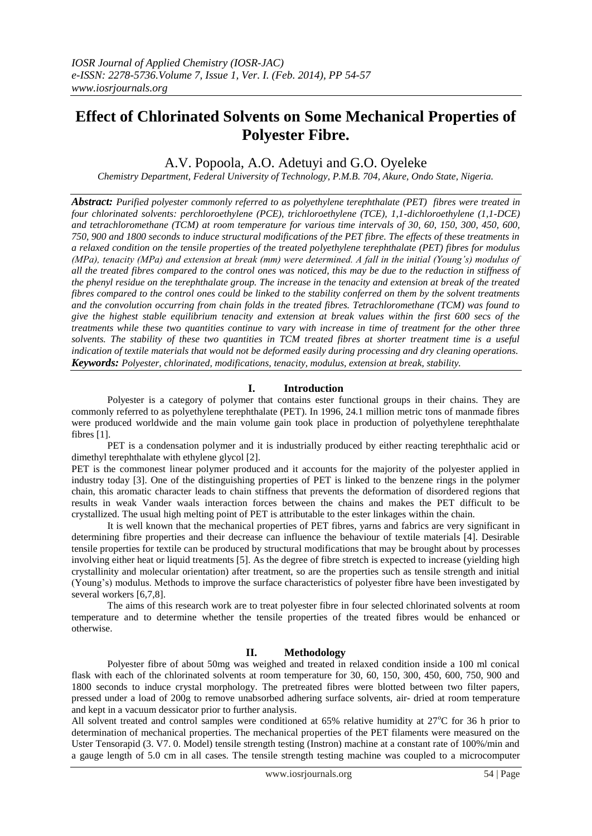# **Effect of Chlorinated Solvents on Some Mechanical Properties of Polyester Fibre.**

A.V. Popoola, A.O. Adetuyi and G.O. Oyeleke

*Chemistry Department, Federal University of Technology, P.M.B. 704, Akure, Ondo State, Nigeria.*

*Abstract: Purified polyester commonly referred to as polyethylene terephthalate (PET) fibres were treated in four chlorinated solvents: perchloroethylene (PCE), trichloroethylene (TCE), 1,1-dichloroethylene (1,1-DCE) and tetrachloromethane (TCM) at room temperature for various time intervals of 30, 60, 150, 300, 450, 600, 750, 900 and 1800 seconds to induce structural modifications of the PET fibre. The effects of these treatments in a relaxed condition on the tensile properties of the treated polyethylene terephthalate (PET) fibres for modulus (MPa), tenacity (MPa) and extension at break (mm) were determined. A fall in the initial (Young's) modulus of all the treated fibres compared to the control ones was noticed, this may be due to the reduction in stiffness of the phenyl residue on the terephthalate group. The increase in the tenacity and extension at break of the treated fibres compared to the control ones could be linked to the stability conferred on them by the solvent treatments and the convolution occurring from chain folds in the treated fibres. Tetrachloromethane (TCM) was found to give the highest stable equilibrium tenacity and extension at break values within the first 600 secs of the treatments while these two quantities continue to vary with increase in time of treatment for the other three solvents. The stability of these two quantities in TCM treated fibres at shorter treatment time is a useful indication of textile materials that would not be deformed easily during processing and dry cleaning operations. Keywords: Polyester, chlorinated, modifications, tenacity, modulus, extension at break, stability.* 

# **I. Introduction**

Polyester is a category of polymer that contains ester functional groups in their chains. They are commonly referred to as polyethylene terephthalate (PET). In 1996, 24.1 million metric tons of manmade fibres were produced worldwide and the main volume gain took place in production of polyethylene terephthalate fibres [1].

PET is a condensation polymer and it is industrially produced by either reacting terephthalic acid or dimethyl terephthalate with ethylene glycol [2].

PET is the commonest linear polymer produced and it accounts for the majority of the polyester applied in industry today [3]. One of the distinguishing properties of PET is linked to the benzene rings in the polymer chain, this aromatic character leads to chain stiffness that prevents the deformation of disordered regions that results in weak Vander waals interaction forces between the chains and makes the PET difficult to be crystallized. The usual high melting point of PET is attributable to the ester linkages within the chain.

It is well known that the mechanical properties of PET fibres, yarns and fabrics are very significant in determining fibre properties and their decrease can influence the behaviour of textile materials [4]. Desirable tensile properties for textile can be produced by structural modifications that may be brought about by processes involving either heat or liquid treatments [5]. As the degree of fibre stretch is expected to increase (yielding high crystallinity and molecular orientation) after treatment, so are the properties such as tensile strength and initial (Young's) modulus. Methods to improve the surface characteristics of polyester fibre have been investigated by several workers [6,7,8].

The aims of this research work are to treat polyester fibre in four selected chlorinated solvents at room temperature and to determine whether the tensile properties of the treated fibres would be enhanced or otherwise.

# **II. Methodology**

Polyester fibre of about 50mg was weighed and treated in relaxed condition inside a 100 ml conical flask with each of the chlorinated solvents at room temperature for 30, 60, 150, 300, 450, 600, 750, 900 and 1800 seconds to induce crystal morphology. The pretreated fibres were blotted between two filter papers, pressed under a load of 200g to remove unabsorbed adhering surface solvents, air- dried at room temperature and kept in a vacuum dessicator prior to further analysis.

All solvent treated and control samples were conditioned at 65% relative humidity at  $27^{\circ}$ C for 36 h prior to determination of mechanical properties. The mechanical properties of the PET filaments were measured on the Uster Tensorapid (3. V7. 0. Model) tensile strength testing (Instron) machine at a constant rate of 100%/min and a gauge length of 5.0 cm in all cases. The tensile strength testing machine was coupled to a microcomputer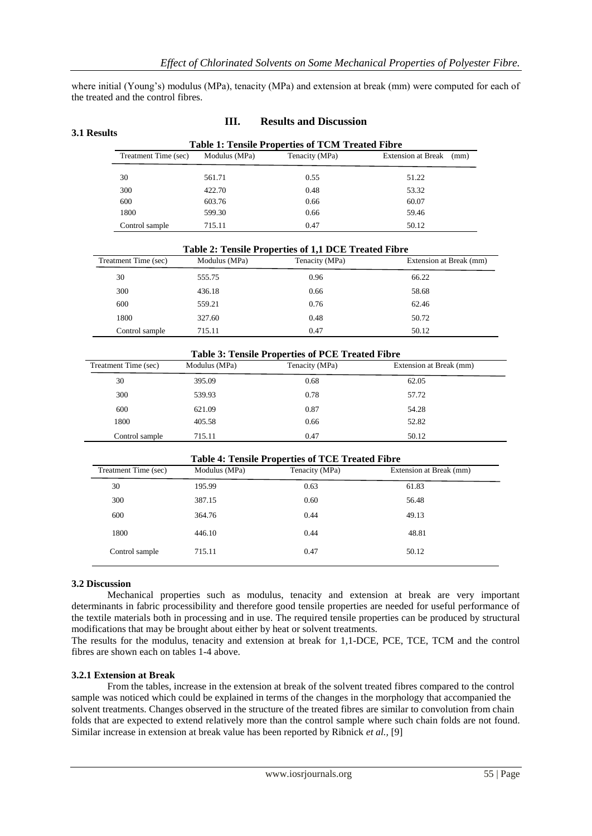where initial (Young's) modulus (MPa), tenacity (MPa) and extension at break (mm) were computed for each of the treated and the control fibres.

**III. Results and Discussion**

| Treatment Time (sec) | Modulus (MPa) | Tenacity (MPa)                                          | <b>Extension at Break</b><br>(mm) |
|----------------------|---------------|---------------------------------------------------------|-----------------------------------|
| 30                   | 561.71        | 0.55                                                    | 51.22                             |
| 300                  | 422.70        | 0.48                                                    | 53.32                             |
| 600                  | 603.76        | 0.66                                                    | 60.07                             |
| 1800                 | 599.30        | 0.66                                                    | 59.46                             |
| Control sample       | 715.11        | 0.47                                                    | 50.12                             |
| Treatment Time (sec) | Modulus (MPa) | Tenacity (MPa)                                          | Extension at Break (mm)           |
|                      |               | Table 2: Tensile Properties of 1,1 DCE Treated Fibre    |                                   |
| 30                   | 555.75        | 0.96                                                    | 66.22                             |
| 300                  | 436.18        | 0.66                                                    | 58.68                             |
| 600                  | 559.21        | 0.76                                                    | 62.46                             |
| 1800                 | 327.60        | 0.48                                                    | 50.72                             |
| Control sample       | 715.11        | 0.47                                                    | 50.12                             |
|                      |               |                                                         |                                   |
|                      |               |                                                         |                                   |
|                      |               | <b>Table 3: Tensile Properties of PCE Treated Fibre</b> |                                   |
| Treatment Time (sec) | Modulus (MPa) | Tenacity (MPa)                                          | Extension at Break (mm)           |
| 30                   | 395.09        | 0.68                                                    | 62.05                             |
| 300                  | 539.93        | 0.78                                                    | 57.72                             |
| 600                  | 621.09        | 0.87                                                    | 54.28                             |

| <b>Table 4: Tensile Properties of TCE Treated Fibre</b> |               |                |                         |  |
|---------------------------------------------------------|---------------|----------------|-------------------------|--|
| Treatment Time (sec)                                    | Modulus (MPa) | Tenacity (MPa) | Extension at Break (mm) |  |
| 30                                                      | 195.99        | 0.63           | 61.83                   |  |
| 300                                                     | 387.15        | 0.60           | 56.48                   |  |
| 600                                                     | 364.76        | 0.44           | 49.13                   |  |
| 1800                                                    | 446.10        | 0.44           | 48.81                   |  |
| Control sample                                          | 715.11        | 0.47           | 50.12                   |  |

Control sample 715.11 0.47 50.12

# **3.2 Discussion**

Mechanical properties such as modulus, tenacity and extension at break are very important determinants in fabric processibility and therefore good tensile properties are needed for useful performance of the textile materials both in processing and in use. The required tensile properties can be produced by structural modifications that may be brought about either by heat or solvent treatments.

The results for the modulus, tenacity and extension at break for 1,1-DCE, PCE, TCE, TCM and the control fibres are shown each on tables 1-4 above.

#### **3.2.1 Extension at Break**

From the tables, increase in the extension at break of the solvent treated fibres compared to the control sample was noticed which could be explained in terms of the changes in the morphology that accompanied the solvent treatments. Changes observed in the structure of the treated fibres are similar to convolution from chain folds that are expected to extend relatively more than the control sample where such chain folds are not found. Similar increase in extension at break value has been reported by Ribnick *et al.,* [9]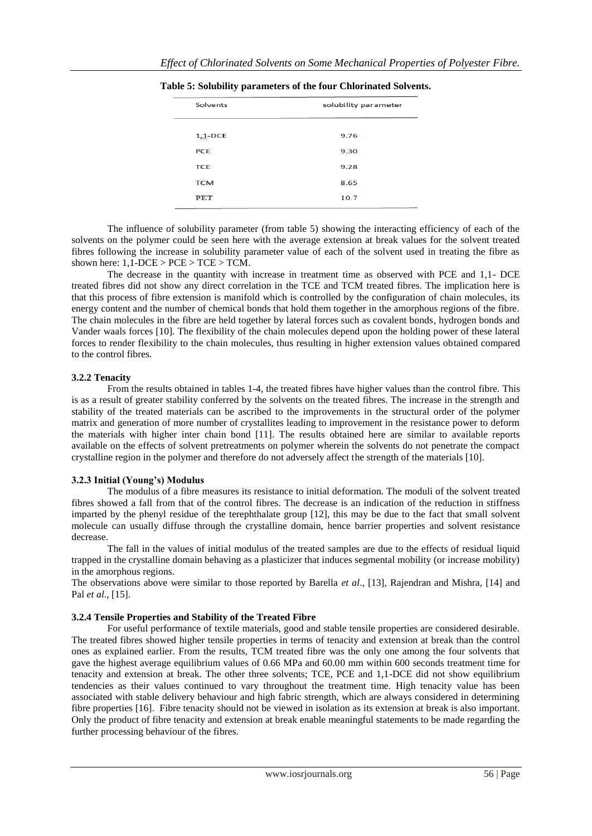| <b>Solvents</b> | solubility parameter |  |  |
|-----------------|----------------------|--|--|
|                 |                      |  |  |
| $1,1$ -DCE      | 9.76                 |  |  |
| <b>PCE</b>      | 9.30                 |  |  |
| <b>TCE</b>      | 9.28                 |  |  |
| <b>TCM</b>      | 8.65                 |  |  |
| PET             | 10.7                 |  |  |

**Table 5: Solubility parameters of the four Chlorinated Solvents.**

The influence of solubility parameter (from table 5) showing the interacting efficiency of each of the solvents on the polymer could be seen here with the average extension at break values for the solvent treated fibres following the increase in solubility parameter value of each of the solvent used in treating the fibre as shown here:  $1,1$ -DCE > PCE > TCE > TCM.

The decrease in the quantity with increase in treatment time as observed with PCE and 1,1- DCE treated fibres did not show any direct correlation in the TCE and TCM treated fibres. The implication here is that this process of fibre extension is manifold which is controlled by the configuration of chain molecules, its energy content and the number of chemical bonds that hold them together in the amorphous regions of the fibre. The chain molecules in the fibre are held together by lateral forces such as covalent bonds, hydrogen bonds and Vander waals forces [10]. The flexibility of the chain molecules depend upon the holding power of these lateral forces to render flexibility to the chain molecules, thus resulting in higher extension values obtained compared to the control fibres.

# **3.2.2 Tenacity**

From the results obtained in tables 1-4, the treated fibres have higher values than the control fibre. This is as a result of greater stability conferred by the solvents on the treated fibres. The increase in the strength and stability of the treated materials can be ascribed to the improvements in the structural order of the polymer matrix and generation of more number of crystallites leading to improvement in the resistance power to deform the materials with higher inter chain bond [11]. The results obtained here are similar to available reports available on the effects of solvent pretreatments on polymer wherein the solvents do not penetrate the compact crystalline region in the polymer and therefore do not adversely affect the strength of the materials [10].

# **3.2.3 Initial (Young's) Modulus**

The modulus of a fibre measures its resistance to initial deformation. The moduli of the solvent treated fibres showed a fall from that of the control fibres. The decrease is an indication of the reduction in stiffness imparted by the phenyl residue of the terephthalate group [12], this may be due to the fact that small solvent molecule can usually diffuse through the crystalline domain, hence barrier properties and solvent resistance decrease.

The fall in the values of initial modulus of the treated samples are due to the effects of residual liquid trapped in the crystalline domain behaving as a plasticizer that induces segmental mobility (or increase mobility) in the amorphous regions.

The observations above were similar to those reported by Barella *et al*., [13], Rajendran and Mishra, [14] and Pal *et al*., [15].

#### **3.2.4 Tensile Properties and Stability of the Treated Fibre**

For useful performance of textile materials, good and stable tensile properties are considered desirable. The treated fibres showed higher tensile properties in terms of tenacity and extension at break than the control ones as explained earlier. From the results, TCM treated fibre was the only one among the four solvents that gave the highest average equilibrium values of 0.66 MPa and 60.00 mm within 600 seconds treatment time for tenacity and extension at break. The other three solvents; TCE, PCE and 1,1-DCE did not show equilibrium tendencies as their values continued to vary throughout the treatment time. High tenacity value has been associated with stable delivery behaviour and high fabric strength, which are always considered in determining fibre properties [16]. Fibre tenacity should not be viewed in isolation as its extension at break is also important. Only the product of fibre tenacity and extension at break enable meaningful statements to be made regarding the further processing behaviour of the fibres.